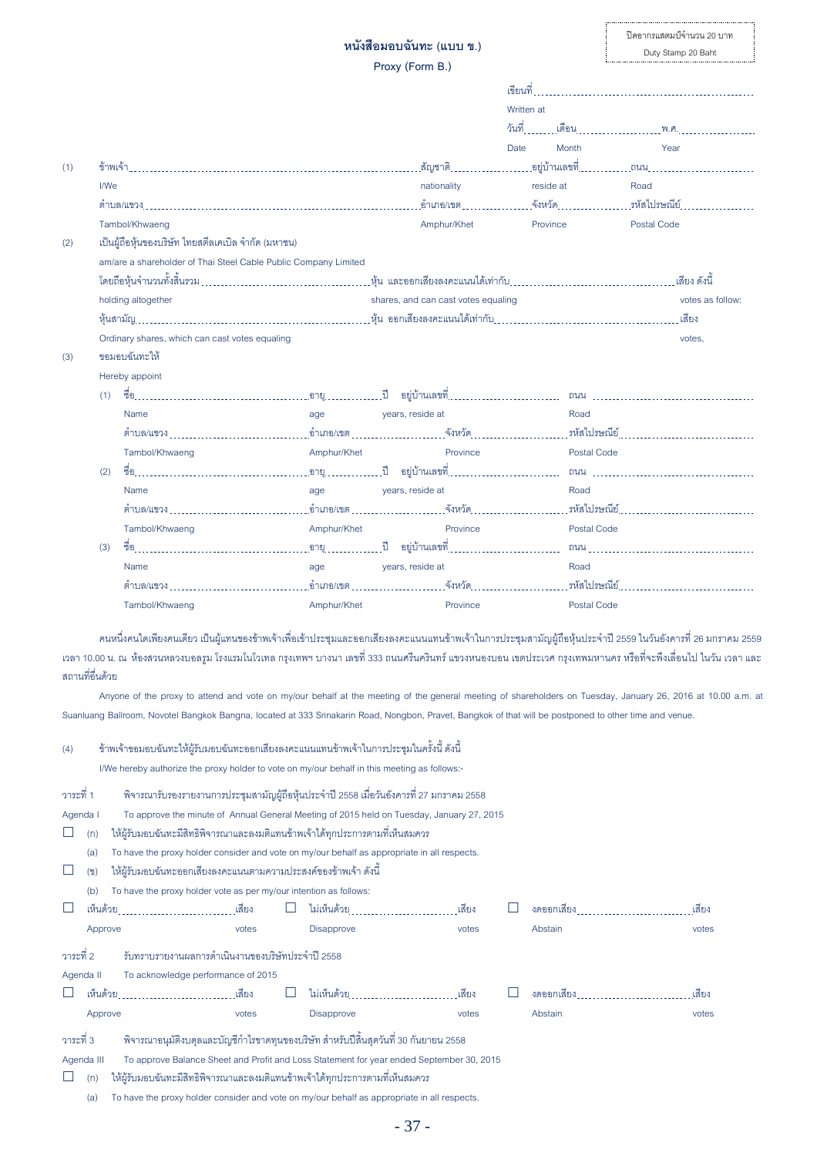## **หนังสือมอบฉันทะ (แบบ ข.)**

**Proxy (Form B.)** 

|     |      |                                                                 |             |                                                                       | Written at       |                      |
|-----|------|-----------------------------------------------------------------|-------------|-----------------------------------------------------------------------|------------------|----------------------|
|     |      |                                                                 |             |                                                                       |                  |                      |
|     |      |                                                                 |             |                                                                       | Date<br>Month    | Year                 |
| (1) |      |                                                                 |             |                                                                       |                  |                      |
|     | I/We |                                                                 |             | nationality                                                           | reside at        | Road                 |
|     |      |                                                                 |             |                                                                       |                  |                      |
|     |      | Tambol/Khwaeng                                                  |             | Amphur/Khet                                                           | Province         | Postal Code          |
| (2) |      | เป็นผู้ถือหุ้นของบริษัท ไทยสตีลเคเบิล จำกัด (มหาชน)             |             |                                                                       |                  |                      |
|     |      | am/are a shareholder of Thai Steel Cable Public Company Limited |             |                                                                       |                  |                      |
|     |      |                                                                 |             |                                                                       |                  |                      |
|     |      | holding altogether                                              |             | shares, and can cast votes equaling                                   | votes as follow: |                      |
|     |      |                                                                 |             |                                                                       |                  |                      |
|     |      | Ordinary shares, which can cast votes equaling                  |             |                                                                       |                  | votes,               |
| (3) |      | ขคมคบฉันทะให้                                                   |             |                                                                       |                  |                      |
|     |      | Hereby appoint                                                  |             |                                                                       |                  |                      |
|     | (1)  |                                                                 |             |                                                                       |                  |                      |
|     |      | Name                                                            | age         | years, reside at                                                      | Road             |                      |
|     |      |                                                                 |             |                                                                       |                  |                      |
|     |      | Tambol/Khwaeng                                                  | Amphur/Khet | Province                                                              | Postal Code      |                      |
|     | (2)  |                                                                 |             |                                                                       |                  | ถนน                  |
|     |      | Name                                                            | age         | years, reside at                                                      | Road             |                      |
|     |      |                                                                 |             | _อำเภอ/เขต _________________________จังหวัด _________________________ |                  | รหัสไปรษณีย์ <u></u> |
|     |      | Tambol/Khwaeng                                                  | Amphur/Khet | Province                                                              | Postal Code      |                      |
|     | (3)  |                                                                 |             |                                                                       |                  |                      |
|     |      | Name                                                            | age         | years, reside at                                                      | Road             |                      |
|     |      |                                                                 |             |                                                                       |                  |                      |
|     |      | Tambol/Khwaeng                                                  | Amphur/Khet | Province                                                              | Postal Code      |                      |

คนหนึ่งคนใดเพียงคนเดียว เป็นผู้แทนของข้าพเจ้าเพื่อเข้าประชุมและออกเสียงลงคะแนนแทนข้าพเจ้าในการประชุมสามัญผู้ถือหุ้นประจำปี 2559 ในวันอังคารที่ 26 มกราคม 2559 เวลา 10.00 น. ณ ห้องสวนหลวงบอลรูม โรงแรมโนโวเทล กรุงเทพฯ บางนา เลขที่ 333 ถนนศรีนครินทร์ แขวงหนองบอน เขตประเวศ กรุงเทพมหานคร หรือที่จะพึงเลื่อนไป ในวัน เวลา และ ี สถานที่อื่นด้วย

Anyone of the proxy to attend and vote on my/our behalf at the meeting of the general meeting of shareholders on Tuesday, January 26, 2016 at 10.00 a.m. at Suanluang Ballroom, Novotel Bangkok Bangna, located at 333 Srinakarin Road, Nongbon, Pravet, Bangkok of that will be postponed to other time and venue.

#### (4) ข้าพเจ้าขอมอบฉันทะให้ผู้รับมอบฉันทะออกเสียงลงคะแนนแทนข้าพเจ้าในการประชุมในครั้งนี้ ดังนี้

I/We hereby authorize the proxy holder to vote on my/our behalf in this meeting as follows:-

| วาระที่ 1  | พิจารณารับรองรายงานการประชุมสามัญผู้ถือหุ้นประจำปี 2558 เมื่อวันอังคารที่ 27 มกราคม 2558    |                                                  |  |                                                                                             |       |  |            |       |  |  |
|------------|---------------------------------------------------------------------------------------------|--------------------------------------------------|--|---------------------------------------------------------------------------------------------|-------|--|------------|-------|--|--|
| Agenda I   | To approve the minute of Annual General Meeting of 2015 held on Tuesday, January 27, 2015   |                                                  |  |                                                                                             |       |  |            |       |  |  |
| (n)        |                                                                                             |                                                  |  | ให้ผู้รับมอบฉันทะมีสิทธิพิจารณาและลงมติแทนข้าพเจ้าได้ทุกประการตามที่เห็นสมควร               |       |  |            |       |  |  |
| (a)        |                                                                                             |                                                  |  | To have the proxy holder consider and vote on my/our behalf as appropriate in all respects. |       |  |            |       |  |  |
| (2)        | ให้ผู้รับมอบฉันทะออกเสียงลงคะแนนตามความประสงค์ของข้าพเจ้า ดังนี้                            |                                                  |  |                                                                                             |       |  |            |       |  |  |
| (b)        | To have the proxy holder vote as per my/our intention as follows:                           |                                                  |  |                                                                                             |       |  |            |       |  |  |
|            |                                                                                             |                                                  |  |                                                                                             |       |  |            | เสียง |  |  |
| Approve    |                                                                                             | votes                                            |  | <b>Disapprove</b>                                                                           | votes |  | Abstain    | votes |  |  |
| วาระที่ 2  |                                                                                             | รับทราบรายงานผลการดำเนินงานของบริษัทประจำปี 2558 |  |                                                                                             |       |  |            |       |  |  |
| Agenda II  |                                                                                             | To acknowledge performance of 2015               |  |                                                                                             |       |  |            |       |  |  |
|            |                                                                                             |                                                  |  |                                                                                             |       |  | งดออกเสียง | เสียง |  |  |
| Approve    |                                                                                             | votes                                            |  | <b>Disapprove</b>                                                                           | votes |  | Abstain    | votes |  |  |
| วาระที่ 3  |                                                                                             |                                                  |  | พิจารณาอนุมัติงบดุลและบัญชีกำไรขาดทุนของบริษัท สำหรับปีลิ้นสุดวันที่ 30 กันยายน 2558        |       |  |            |       |  |  |
| Agenda III | To approve Balance Sheet and Profit and Loss Statement for year ended September 30, 2015    |                                                  |  |                                                                                             |       |  |            |       |  |  |
| (n)        | ให้ผู้รับมอบฉันทะมีสิทธิพิจารณาและลงมติแทนข้าพเจ้าได้ทุกประการตามที่เห็นสมควร               |                                                  |  |                                                                                             |       |  |            |       |  |  |
| (a)        | To have the proxy holder consider and vote on my/our behalf as appropriate in all respects. |                                                  |  |                                                                                             |       |  |            |       |  |  |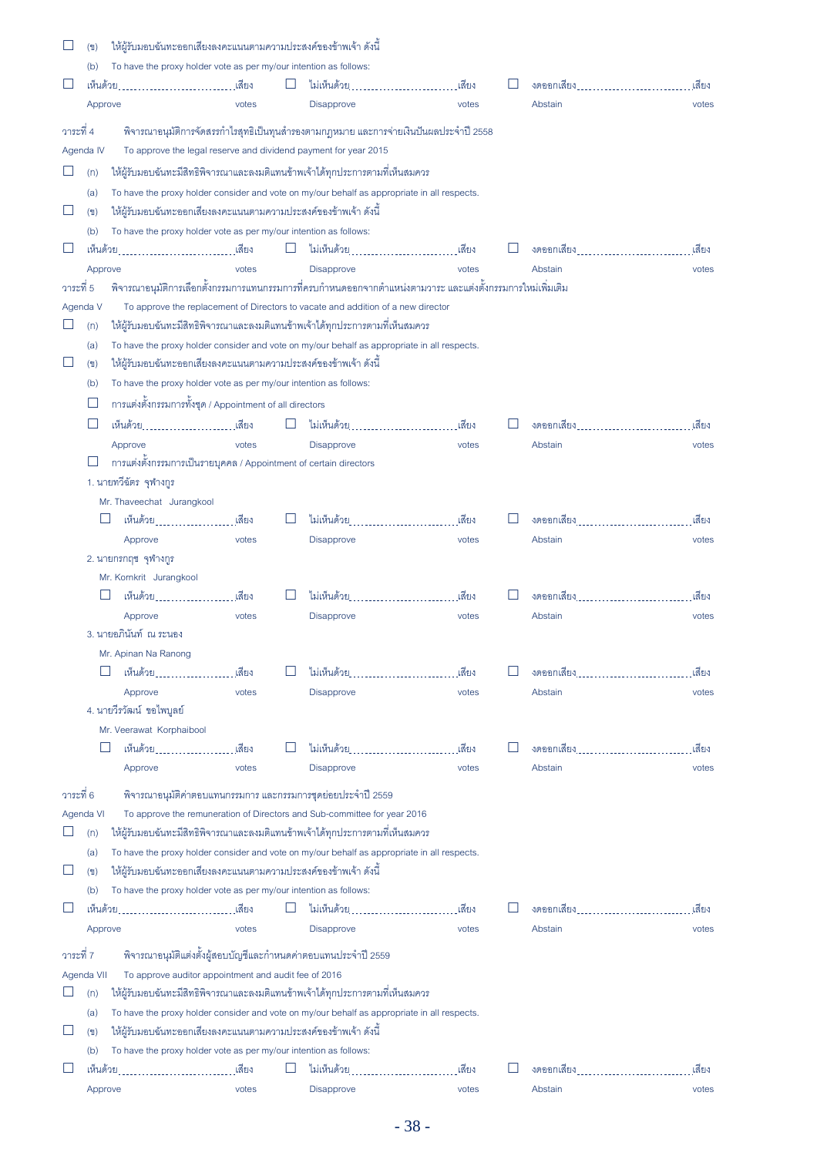|           | (2)                       | ให้ผู้รับมอบฉันทะออกเสียงลงคะแนนตามความประสงค์ของข้าพเจ้า ดังนี้  |       |        |                                                                                                            |       |  |                                 |        |  |  |  |
|-----------|---------------------------|-------------------------------------------------------------------|-------|--------|------------------------------------------------------------------------------------------------------------|-------|--|---------------------------------|--------|--|--|--|
|           | (b)                       | To have the proxy holder vote as per my/our intention as follows: |       |        |                                                                                                            |       |  |                                 |        |  |  |  |
|           |                           |                                                                   |       | ப      |                                                                                                            |       |  | งดออกเสียง พระบาท พระบาท พระบาท | ้เสียง |  |  |  |
|           | Approve                   |                                                                   | votes |        | Disapprove                                                                                                 | votes |  | Abstain                         | votes  |  |  |  |
| วาระที่ 4 |                           |                                                                   |       |        | พิจารณาอนุมัติการจัดสรรกำไรสุทธิเป็นทุนสำรองตามกฎหมาย และการจ่ายเงินปันผลประจำปี 2558                      |       |  |                                 |        |  |  |  |
|           | Agenda IV                 |                                                                   |       |        | To approve the legal reserve and dividend payment for year 2015                                            |       |  |                                 |        |  |  |  |
|           |                           |                                                                   |       |        |                                                                                                            |       |  |                                 |        |  |  |  |
|           | (n)                       |                                                                   |       |        | ให้ผู้รับมอบฉันทะมีสิทธิพิจารณาและลงมติแทนข้าพเจ้าได้ทุกประการตามที่เห็นสมควร                              |       |  |                                 |        |  |  |  |
|           | (a)                       |                                                                   |       |        | To have the proxy holder consider and vote on my/our behalf as appropriate in all respects.                |       |  |                                 |        |  |  |  |
| ⊔         | (2)                       | ให้ผู้รับมอบฉันทะออกเสียงลงคะแนนตามความประสงค์ของข้าพเจ้า ดังนี้  |       |        |                                                                                                            |       |  |                                 |        |  |  |  |
|           | (b)                       | To have the proxy holder vote as per my/our intention as follows: |       |        |                                                                                                            |       |  |                                 |        |  |  |  |
|           |                           |                                                                   |       | $\Box$ |                                                                                                            |       |  |                                 | ้เสียง |  |  |  |
|           | Approve                   |                                                                   | votes |        | Disapprove                                                                                                 | votes |  | Abstain                         | votes  |  |  |  |
| วาระที่ 5 |                           |                                                                   |       |        | พิจารณาอนุมัติการเลือกตั้งกรรมการแทนกรรมการที่ครบกำหนดออกจากตำแหน่งตามวาระ และแต่งตั้งกรรมการใหม่เพิ่มเติม |       |  |                                 |        |  |  |  |
|           | Agenda V                  |                                                                   |       |        | To approve the replacement of Directors to vacate and addition of a new director                           |       |  |                                 |        |  |  |  |
| $\Box$    | (n)                       |                                                                   |       |        | ให้ผู้รับมอบฉันทะมีสิทธิพิจารณาและลงมติแทนข้าพเจ้าได้ทุกประการตามที่เห็นสมควร                              |       |  |                                 |        |  |  |  |
|           | (a)                       |                                                                   |       |        | To have the proxy holder consider and vote on my/our behalf as appropriate in all respects.                |       |  |                                 |        |  |  |  |
| $\Box$    | (2)                       | ให้ผู้รับมอบฉันทะออกเสียงลงคะแนนตามความประสงค์ของข้าพเจ้า ดังนี้  |       |        |                                                                                                            |       |  |                                 |        |  |  |  |
|           | (b)                       | To have the proxy holder vote as per my/our intention as follows: |       |        |                                                                                                            |       |  |                                 |        |  |  |  |
|           | $\Box$                    | การแต่งตั้งกรรมการทั้งชุด / Appointment of all directors          |       |        |                                                                                                            |       |  |                                 |        |  |  |  |
|           | $\Box$                    | เห็นด้วย : เสียง                                                  |       |        | ไม่เห็นด้วย                                                                                                | เสียง |  | งดออกเสียง พระบาท พระบาท พระบาท | เสียง  |  |  |  |
|           |                           | Approve                                                           | votes |        | Disapprove                                                                                                 | votes |  | Abstain                         | votes  |  |  |  |
|           | $\mathbf{L}$              | การแต่งตั้งกรรมการเป็นรายบุคคล / Appointment of certain directors |       |        |                                                                                                            |       |  |                                 |        |  |  |  |
|           |                           | 1. นายทวีฉัตร จุฬางกูร                                            |       |        |                                                                                                            |       |  |                                 |        |  |  |  |
|           | Mr. Thaveechat Jurangkool |                                                                   |       |        |                                                                                                            |       |  |                                 |        |  |  |  |
|           | ⊔                         | ้เห็นด้วย <u>. เ</u> สียง                                         |       |        | ไม่เห็นด้วย                                                                                                | เสียง |  |                                 | เสียง  |  |  |  |
|           |                           | Approve                                                           | votes |        | <b>Disapprove</b>                                                                                          | votes |  | Abstain                         | votes  |  |  |  |
|           |                           | 2. นายกรกฤช จุฬางกูร                                              |       |        |                                                                                                            |       |  |                                 |        |  |  |  |
|           |                           | Mr. Kornkrit Jurangkool                                           |       |        |                                                                                                            |       |  |                                 |        |  |  |  |
|           |                           |                                                                   |       |        | ไม่เห็นด้วย                                                                                                | เสียง |  |                                 | เสียง  |  |  |  |
|           |                           | Approve                                                           | votes |        | Disapprove                                                                                                 | votes |  | Abstain                         | votes  |  |  |  |
|           |                           | 3. นายอภินันท์ ณ ระนอง                                            |       |        |                                                                                                            |       |  |                                 |        |  |  |  |
|           |                           | Mr. Apinan Na Ranong                                              |       |        |                                                                                                            |       |  |                                 |        |  |  |  |
|           |                           | เห็นด้วย จาก จาก จาก จ                                            | เสียง |        | ไม่เห็นด้วย 2010 การเลือก                                                                                  | เสียง |  | งดออกเสียง                      | เสียง  |  |  |  |
|           |                           | Approve                                                           | votes |        | Disapprove                                                                                                 | votes |  | Abstain                         | votes  |  |  |  |
|           |                           | 4. นายวีรวัฒน์ ขอไพบูลย์                                          |       |        |                                                                                                            |       |  |                                 |        |  |  |  |
|           |                           | Mr. Veerawat Korphaibool                                          |       |        |                                                                                                            |       |  |                                 |        |  |  |  |
|           |                           | เห็นด้วย 2010 การเลือ                                             | เสียง |        | ไม่เห็นด้วย จาก จาก จาก จาก จาก จ                                                                          | เสียง |  | งดออกเสียง                      | เสียง  |  |  |  |
|           |                           |                                                                   |       |        |                                                                                                            |       |  |                                 |        |  |  |  |
|           |                           | Approve                                                           | votes |        | Disapprove                                                                                                 | votes |  | Abstain                         | votes  |  |  |  |
| วาระที่ 6 |                           |                                                                   |       |        | พิจารณาอนุมัติค่าตอบแทนกรรมการ และกรรมการชุดย่อยประจำปี 2559                                               |       |  |                                 |        |  |  |  |
|           | Agenda VI                 |                                                                   |       |        | To approve the remuneration of Directors and Sub-committee for year 2016                                   |       |  |                                 |        |  |  |  |
|           | (n)                       |                                                                   |       |        | ให้ผู้รับมอบฉันทะมีสิทธิพิจารณาและลงมติแทนข้าพเจ้าได้ทุกประการตามที่เห็นสมควร                              |       |  |                                 |        |  |  |  |
|           | (a)                       |                                                                   |       |        | To have the proxy holder consider and vote on my/our behalf as appropriate in all respects.                |       |  |                                 |        |  |  |  |
| H         | (2)                       | ให้ผู้รับมอบฉันทะออกเสียงลงคะแนนตามความประสงค์ของข้าพเจ้า ดังนี้  |       |        |                                                                                                            |       |  |                                 |        |  |  |  |
|           | (b)                       | To have the proxy holder vote as per my/our intention as follows: |       |        |                                                                                                            |       |  |                                 |        |  |  |  |
|           |                           |                                                                   |       |        | ไม่เห็นด้วย                                                                                                | เสียง |  |                                 | เสียง  |  |  |  |
|           | Approve                   |                                                                   | votes |        | Disapprove                                                                                                 | votes |  | Abstain                         | votes  |  |  |  |
|           |                           |                                                                   |       |        |                                                                                                            |       |  |                                 |        |  |  |  |
| วาระที่ 7 |                           |                                                                   |       |        | พิจารณาอนุมัติแต่งตั้งผู้สอบบัญชีและกำหนดค่าตอบแทนประจำปี 2559                                             |       |  |                                 |        |  |  |  |
|           | Agenda VII                | To approve auditor appointment and audit fee of 2016              |       |        |                                                                                                            |       |  |                                 |        |  |  |  |
| $\Box$    | (n)                       |                                                                   |       |        | ให้ผู้รับมอบฉันทะมีสิทธิพิจารณาและลงมติแทนข้าพเจ้าได้ทุกประการตามที่เห็นสมควร                              |       |  |                                 |        |  |  |  |
|           | (a)                       |                                                                   |       |        | To have the proxy holder consider and vote on my/our behalf as appropriate in all respects.                |       |  |                                 |        |  |  |  |
|           | (2)                       | ให้ผู้รับมอบฉันทะออกเสียงลงคะแนนตามความประสงค์ของข้าพเจ้า ดังนี้  |       |        |                                                                                                            |       |  |                                 |        |  |  |  |
|           | (b)                       | To have the proxy holder vote as per my/our intention as follows: |       |        |                                                                                                            |       |  |                                 |        |  |  |  |
|           |                           | เห็นด้วย                                                          | เสียง |        | ไม่เห็นด้วย จาก จาก จาก จาก จาก จ                                                                          | เสียง |  | งดออกเสียง พระบาท พระบาท พระบาท | เสียง  |  |  |  |
|           | Approve                   |                                                                   | votes |        | Disapprove                                                                                                 | votes |  | Abstain                         | votes  |  |  |  |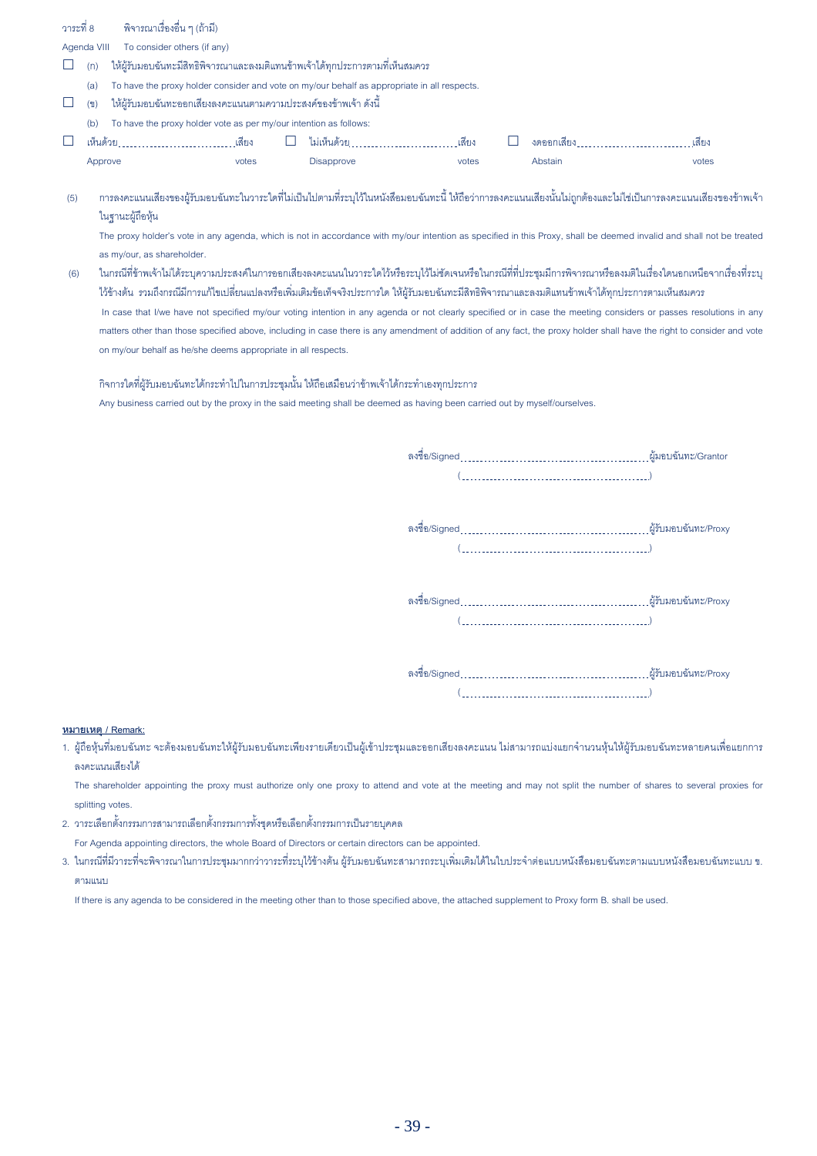| วาระที่ 8 | พิจารณาเรื่องอื่น ๆ (ถ้ามี) |  |
|-----------|-----------------------------|--|
|           |                             |  |

Agenda VIII To consider others (if any)

- $\Box$  $(n)$ ให้ผู้รับมอบฉันทะมีสิทธิพิจารณาและลงมติแทนข้าพเจ้าได้ทุกประการตามที่เห็นสมควร
- To have the proxy holder consider and vote on my/our behalf as appropriate in all respects.  $(a)$
- $\Box$ ให้ผู้รับมอบฉันทะออกเสียงลงคะแนนตามความประสงค์ของข้าพเจ้า ดังนี้  $(91)$
- To have the proxy holder vote as per my/our intention as follows:  $(b)$

on my/our behalf as he/she deems appropriate in all respects.

| _ | ים א |  | 66 Y EJ Y |  |  |
|---|------|--|-----------|--|--|
|   |      |  |           |  |  |

่ การลงคะแนนเสียงของผ้รับมอบฉันทะในวาระใดที่ไม่เป็นไปตามที่ระบไว้ในหนังสือมอบฉันทะนี้ ให้ถือว่าการลงคะแนนเสียงน้นไม่เกกต้องและไม่ไช่เป็นการลงคะแนนเสียงของข้าพเจ้า  $(5)$ ในจานะผ้ถือห้น

The proxy holder's vote in any agenda, which is not in accordance with my/our intention as specified in this Proxy, shall be deemed invalid and shall not be treated as my/our, as shareholder.

ในกรณีที่ข้าพเจ้าไม่ได้ระบความประสงค์ในการออกเสียงลงคะแนนในวาระใดไว้หรือระบไว้ไม่ขัดเจนหรือในกรณีที่ที่ประชมมีการพิจารณาหรือลงมติในเรื่องใดนอกเหนือจากเรื่องที่ระบ  $(6)$ ไว้ข้างต้น รวมถึงกรณีมีการแก้ไขเปลี่ยนแปลงหรือเพิ่มเติมข้อเท็จจริงประการใด ให้ผู้รับมอบฉันทะมีสิทธิพิจารณาและลงมติแทนข้าพเจ้าได้ทุกประการตามเห็นสมควร In case that I/we have not specified my/our voting intention in any agenda or not clearly specified or in case the meeting considers or passes resolutions in any matters other than those specified above, including in case there is any amendment of addition of any fact, the proxy holder shall have the right to consider and vote

้กิจการใดที่ผู้รับมอบฉันทะได้กระทำไปในการประชุมนั้น ให้ถือเสมือนว่าข้าพเจ้าได้กระทำเองทุกประการ Any business carried out by the proxy in the said meeting shall be deemed as having been carried out by myself/ourselves.

> $\overline{1}$  (

### หมายเหตุ / Remark:

1. ผู้ถือหุ้นที่มอบจันทะ จะต้องมอบจันทะให้ผู้รับมอบจันทะเพียงรายเดียวเป็นผู้เข้าประชุมและออกเสียงลงคะแนน ไม่สามารถแบ่งแยกจำนวนหุ้นให้ผู้รับมอบจันทะหลายคนเพื่อแยกการ ลงคะแนนเสียงได้

The shareholder appointing the proxy must authorize only one proxy to attend and vote at the meeting and may not split the number of shares to several proxies for splitting votes.

่ 2. วาระเลือกตั้งกรรมการสามารถเลือกตั้งกรรมการทั้งชุดหรือเลือกตั้งกรรมการเป็นรายบุคคล

For Agenda appointing directors, the whole Board of Directors or certain directors can be appointed.

3. ในกรณีที่มีวาระที่จะพิจารณาในการประชุมมากกว่าวาระที่ระบุไว้ข้างต้น ผู้รับมอบฉันทะสามารถระบุเพิ่มเติมได้ในใบประจำต่อแบบหนังสือมอบฉันทะตามแบบหนังสือมอบฉันทะแบบ ข. ตามแบบ

If there is any agenda to be considered in the meeting other than to those specified above, the attached supplement to Proxy form B. shall be used.